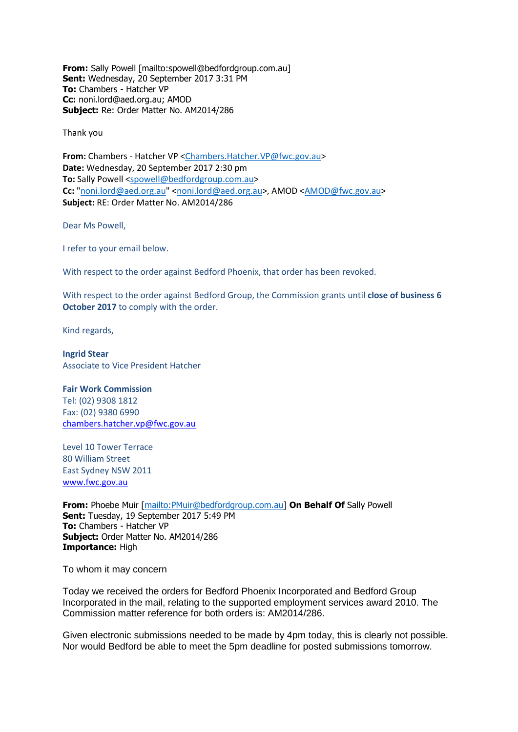**From:** Sally Powell [mailto:spowell@bedfordgroup.com.au] **Sent:** Wednesday, 20 September 2017 3:31 PM **To:** Chambers - Hatcher VP **Cc:** noni.lord@aed.org.au; AMOD **Subject:** Re: Order Matter No. AM2014/286

Thank you

**From:** Chambers - Hatcher VP [<Chambers.Hatcher.VP@fwc.gov.au>](mailto:Chambers.Hatcher.VP@fwc.gov.au) **Date:** Wednesday, 20 September 2017 2:30 pm **To:** Sally Powell [<spowell@bedfordgroup.com.au>](mailto:spowell@bedfordgroup.com.au) Cc: ["noni.lord@aed.org.au"](mailto:noni.lord@aed.org.au) [<noni.lord@aed.org.au>](mailto:noni.lord@aed.org.au), AMOD [<AMOD@fwc.gov.au>](mailto:AMOD@fwc.gov.au) **Subject:** RE: Order Matter No. AM2014/286

Dear Ms Powell,

I refer to your email below.

With respect to the order against Bedford Phoenix, that order has been revoked.

With respect to the order against Bedford Group, the Commission grants until **close of business 6 October 2017** to comply with the order.

Kind regards,

**Ingrid Stear** Associate to Vice President Hatcher

## **Fair Work Commission**

Tel: (02) 9308 1812 Fax: (02) 9380 6990 [chambers.hatcher.vp@fwc.gov.au](mailto:chambers.hatcher.vp@fwc.gov.au) 

Level 10 Tower Terrace 80 William Street East Sydney NSW 2011 [www.fwc.gov.au](http://www.fwc.gov.au/)

**From:** Phoebe Muir [\[mailto:PMuir@bedfordgroup.com.au\]](mailto:PMuir@bedfordgroup.com.au) **On Behalf Of** Sally Powell **Sent:** Tuesday, 19 September 2017 5:49 PM **To:** Chambers - Hatcher VP **Subject:** Order Matter No. AM2014/286 **Importance:** High

To whom it may concern

Today we received the orders for Bedford Phoenix Incorporated and Bedford Group Incorporated in the mail, relating to the supported employment services award 2010. The Commission matter reference for both orders is: AM2014/286.

Given electronic submissions needed to be made by 4pm today, this is clearly not possible. Nor would Bedford be able to meet the 5pm deadline for posted submissions tomorrow.